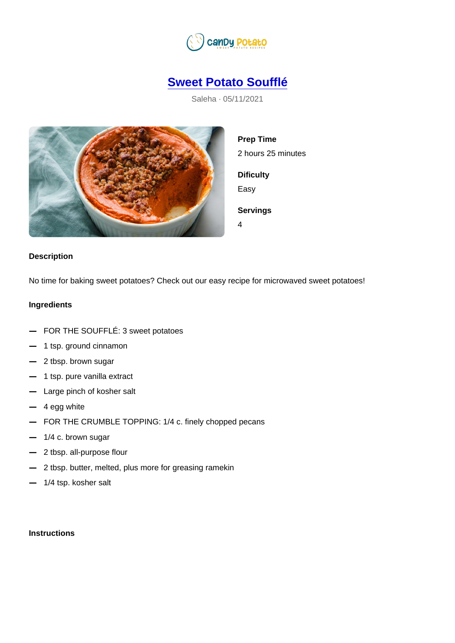## [Sweet Potato Soufflé](https://candypotato.com/recipe/17/sweet-potato-souffle)

Saleha · 05/11/2021

Prep Time 2 hours 25 minutes **Dificulty** Easy Servings 4

## **Description**

No time for baking sweet potatoes? Check out our easy recipe for microwaved sweet potatoes!

## Ingredients

 FOR THE SOUFFLÉ: 3 sweet potatoes 1 tsp. ground cinnamon 2 tbsp. brown sugar 1 tsp. pure vanilla extract Large pinch of kosher salt 4 egg white FOR THE CRUMBLE TOPPING: 1/4 c. finely chopped pecans 1/4 c. brown sugar 2 tbsp. all-purpose flour 2 tbsp. butter, melted, plus more for greasing ramekin

1/4 tsp. kosher salt

**Instructions**